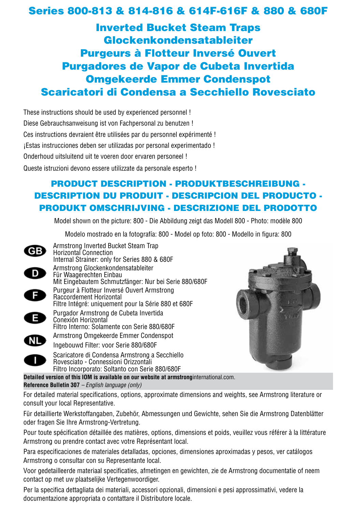# Series 800-813 & 814-816 & 614F-616F & 880 & 680F

Inverted Bucket Steam Traps Glockenkondensatableiter Purgeurs à Flotteur Inversé Ouvert Purgadores de Vapor de Cubeta Invertida Omgekeerde Emmer Condenspot Scaricatori di Condensa a Secchiello Rovesciato

These instructions should be used by experienced personnel ! Diese Gebrauchsanweisung ist von Fachpersonal zu benutzen ! Ces instructions devraient être utilisées par du personnel expérimenté ! ¡Estas instrucciones deben ser utilizadas por personal experimentado ! Onderhoud uitsluitend uit te voeren door ervaren personeel ! Queste istruzioni devono essere utilizzate da personale esperto !

## PRODUCT DESCRIPTION - PRODUKTBESCHREIBUNG - DESCRIPTION DU PRODUIT - DESCRIPCION DEL PRODUCTO - PRODUKT OMSCHRIJVING - DESCRIZIONE DEL PRODOTTO

Model shown on the picture: 800 - Die Abbildung zeigt das Modell 800 - Photo: modèle 800

Modelo mostrado en la fotografía: 800 - Model op foto: 800 - Modello in figura: 800

Armstrong Inverted Bucket Steam Trap **GB** Horizontal Connection Internal Strainer: only for Series 880 & 680F Armstrong Glockenkondensatableiter D Für Waagerechten Einbau Mit Eingebautem Schmutzfänger: Nur bei Serie 880/680F Purgeur à Flotteur Inversé Ouvert Armstrong  $F$ Raccordement Horizontal Filtre Intégré: uniquement pour la Série 880 et 680F Purgador Armstrong de Cubeta Invertida E Conexión Horizontal Filtro Interno: Solamente con Serie 880/680FArmstrong Omgekeerde Emmer Condenspot **NL** Ingebouwd Filter: voor Serie 880/680F Scaricatore di Condensa Armstrong a Secchiello Rovesciato - Connessioni Orizzontali Filtro Incorporato: Soltanto con Serie 880/680F



**Detailed version of this IOM is available on our website at armstrong**international.com. **Reference Bulletin 307** *– English language (only)*

For detailed material specifications, options, approximate dimensions and weights, see Armstrong literature or consult your local Representative.

Für detaillierte Werkstoffangaben, Zubehör, Abmessungen und Gewichte, sehen Sie die Armstrong Datenblätter oder fragen Sie Ihre Armstrong-Vertretung.

Pour toute spécification détaillée des matières, options, dimensions et poids, veuillez vous référer à la littérature Armstrong ou prendre contact avec votre Représentant local.

Para especificaciones de materiales detalladas, opciones, dimensiones aproximadas y pesos, ver catálogos Armstrong o consultar con su Representante local.

Voor gedetailleerde materiaal specificaties, afmetingen en gewichten, zie de Armstrong documentatie of neem contact op met uw plaatselijke Vertegenwoordiger.

Per la specifica dettagliata dei materiali, accessori opzionali, dimensioni e pesi approssimativi, vedere la documentazione appropriata o contattare il Distributore locale.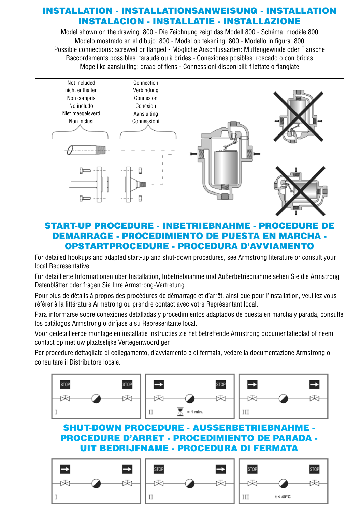## INSTALLATION - INSTALLATIONSANWEISUNG - INSTALLATION INSTALACION - INSTALLATIE - INSTALLAZIONE

Model shown on the drawing: 800 - Die Zeichnung zeigt das Modell 800 - Schéma: modèle 800 Modelo mostrado en el dibujo: 800 - Model op tekening: 800 - Modello in figura: 800 Possible connections: screwed or flanged - Mögliche Anschlussarten: Muffengewinde oder Flansche Raccordements possibles: taraudé ou à brides - Conexiones posibles: roscado o con bridas Mogelijke aansluiting: draad of flens - Connessioni disponibili: filettate o flangiate



## START-UP PROCEDURE - INBETRIEBNAHME - PROCEDURE DE DEMARRAGE - PROCEDIMIENTO DE PUESTA EN MARCHA - OPSTARTPROCEDURE - PROCEDURA D'AVVIAMENTO

For detailed hookups and adapted start-up and shut-down procedures, see Armstrong literature or consult your local Representative.

Für detaillierte Informationen über Installation, Inbetriebnahme und Außerbetriebnahme sehen Sie die Armstrong Datenblätter oder fragen Sie Ihre Armstrong-Vertretung.

Pour plus de détails à propos des procédures de démarrage et d'arrêt, ainsi que pour l'installation, veuillez vous référer à la littérature Armstrong ou prendre contact avec votre Représentant local.

Para informarse sobre conexiones detalladas y procedimientos adaptados de puesta en marcha y parada, consulte los catálogos Armstrong o diríjase a su Representante local.

Voor gedetailleerde montage en installatie instructies zie het betreffende Armstrong documentatieblad of neem contact op met uw plaatselijke Vertegenwoordiger.

Per procedure dettagliate di collegamento, d'avviamento e di fermata, vedere la documentazione Armstrong o consultare il Distributore locale.



# PROCEDURE D'ARRET - PROCEDIMIENTO DE PARADA - UIT BEDRIJFNAME - PROCEDURA DI FERMATA

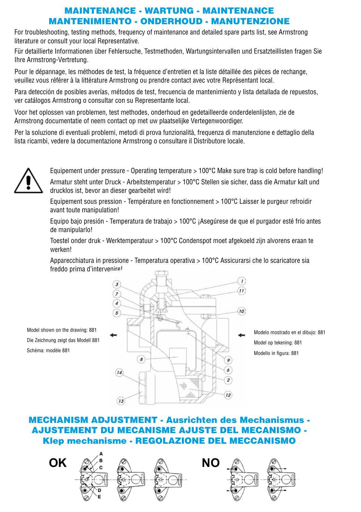## MAINTENANCE - WARTUNG - MAINTENANCE MANTENIMIENTO - ONDERHOUD - MANUTENZIONE

For troubleshooting, testing methods, frequency of maintenance and detailed spare parts list, see Armstrong literature or consult your local Representative.

Für detaillierte Informationen über Fehlersuche, Testmethoden, Wartungsintervallen und Ersatzteillisten fragen Sie Ihre Armstrong-Vertretung.

Pour le dépannage, les méthodes de test, la fréquence d'entretien et la liste détaillée des pièces de rechange, veuillez vous référer à la littérature Armstrong ou prendre contact avec votre Représentant local.

Para detección de posibles averías, métodos de test, frecuencia de mantenimiento y lista detallada de repuestos, ver catálogos Armstrong o consultar con su Representante local.

Voor het oplossen van problemen, test methodes, onderhoud en gedetailleerde onderdelenlijsten, zie de Armstrong documentatie of neem contact op met uw plaatselijke Vertegenwoordiger.

Per la soluzione di eventuali problemi, metodi di prova funzionalità, frequenza di manutenzione e dettaglio della lista ricambi, vedere la documentazione Armstrong o consultare il Distributore locale.



Equipement under pressure - Operating temperature > 100°C Make sure trap is cold before handling! Armatur steht unter Druck - Arbeitstemperatur > 100°C Stellen sie sicher, dass die Armatur kalt und drucklos ist, bevor an dieser gearbeitet wird!

Equipement sous pression - Température en fonctionnement > 100°C Laisser le purgeur refroidir avant toute manipulation!

Equipo bajo presión - Temperatura de trabajo > 100°C ¡Asegúrese de que el purgador esté frío antes de manipularlo!

Toestel onder druk - Werktemperatuur > 100°C Condenspot moet afgekoeld zijn alvorens eraan te werken!

Apparecchiatura in pressione - Temperatura operativa > 100°C Assicurarsi che lo scaricatore sia freddo prima d'intervenire!

Model shown on the drawing: 881 Die Zeichnung zeigt das Modell 881 Schéma: modèle 881



Modelo mostrado en el dibujo: 881 Model op tekening: 881 Modello in figura: 881

MECHANISM ADJUSTMENT - Ausrichten des Mechanismus - AJUSTEMENT DU MECANISME AJUSTE DEL MECANISMO - Klep mechanisme - REGOLAZIONE DEL MECCANISMO